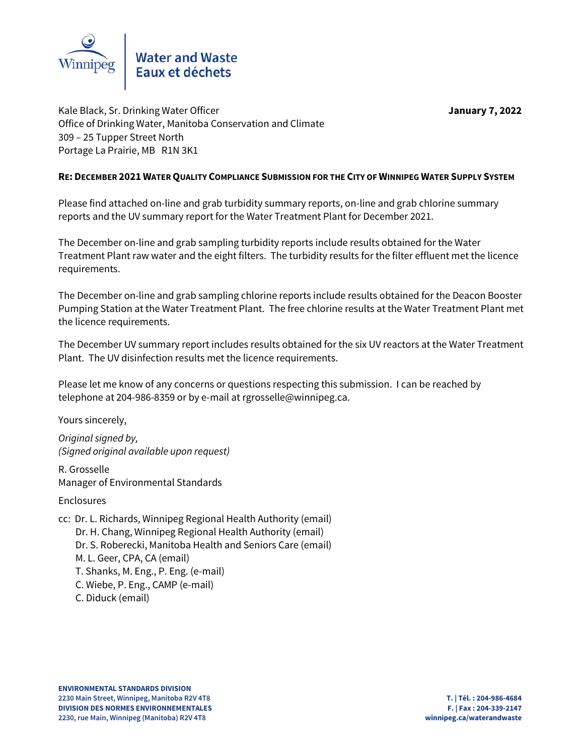

Kale Black, Sr. Drinking Water Officer **January 7, 2022** Office of Drinking Water, Manitoba Conservation and Climate 309 – 25 Tupper Street North Portage La Prairie, MB R1N 3K1

### **RE: DECEMBER 2021 WATER QUALITY COMPLIANCE SUBMISSION FOR THE CITY OF WINNIPEG WATER SUPPLY SYSTEM**

Please find attached on-line and grab turbidity summary reports, on-line and grab chlorine summary reports and the UV summary report for the Water Treatment Plant for December 2021.

The December on-line and grab sampling turbidity reports include results obtained for the Water Treatment Plant raw water and the eight filters. The turbidity results for the filter effluent met the licence requirements.

The December on-line and grab sampling chlorine reports include results obtained for the Deacon Booster Pumping Station at the Water Treatment Plant. The free chlorine results at the Water Treatment Plant met the licence requirements.

The December UV summary report includes results obtained for the six UV reactors at the Water Treatment Plant. The UV disinfection results met the licence requirements.

Please let me know of any concerns or questions respecting this submission. I can be reached by telephone at 204-986-8359 or by e-mail at rgrosselle@winnipeg.ca.

Yours sincerely,

*Original signed by, (Signed original available upon request)*

R. Grosselle Manager of Environmental Standards

Enclosures

cc: Dr. L. Richards, Winnipeg Regional Health Authority (email) Dr. H. Chang, Winnipeg Regional Health Authority (email) Dr. S. Roberecki, Manitoba Health and Seniors Care (email) M. L. Geer, CPA, CA (email) T. Shanks, M. Eng., P. Eng. (e-mail) C. Wiebe, P. Eng., CAMP (e-mail) C. Diduck (email)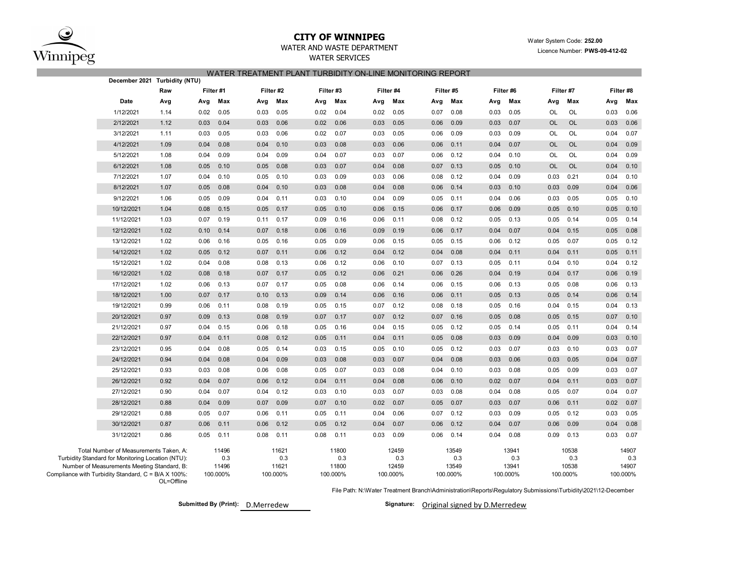

# **CITY OF WINNIPEG** WATER WATER WATER System Code: 252.00

### WATER AND WASTE DEPARTMENT **EXAMPLE 2021** Licence Number: **PWS-09-412-02**

WATER SERVICES

| WATER TREATMENT PLANT TURBIDITY ON-LINE MONITORING REPORT |  |  |
|-----------------------------------------------------------|--|--|
|                                                           |  |  |

| Raw                                                                                                                                                                                                             |           |                       |                                   |      |                                   |           |                                   |      |                                   |      |                                   |           |                                   |           |                                   |
|-----------------------------------------------------------------------------------------------------------------------------------------------------------------------------------------------------------------|-----------|-----------------------|-----------------------------------|------|-----------------------------------|-----------|-----------------------------------|------|-----------------------------------|------|-----------------------------------|-----------|-----------------------------------|-----------|-----------------------------------|
|                                                                                                                                                                                                                 | Filter #1 |                       | Filter #2                         |      | Filter #3                         | Filter #4 |                                   |      | Filter #5                         |      | Filter #6                         |           | Filter #7                         | Filter #8 |                                   |
| Date<br>Avg                                                                                                                                                                                                     | Avg       | Max<br>Avg            | Max                               | Avg  | Max                               | Avg       | Max                               | Avg  | Max                               | Avg  | Max                               | Avg       | Max                               | Avg       | Max                               |
| 1/12/2021<br>1.14                                                                                                                                                                                               | 0.02      | 0.05<br>0.03          | 0.05                              | 0.02 | 0.04                              | 0.02      | 0.05                              | 0.07 | 0.08                              | 0.03 | 0.05                              | OL        | OL                                | 0.03      | 0.06                              |
| 2/12/2021<br>1.12                                                                                                                                                                                               | 0.03      | 0.04<br>0.03          | 0.06                              | 0.02 | 0.06                              | 0.03      | 0.05                              | 0.06 | 0.09                              | 0.03 | 0.07                              | <b>OL</b> | <b>OL</b>                         | 0.03      | 0.06                              |
| 3/12/2021<br>1.11                                                                                                                                                                                               | 0.03      | 0.05<br>0.03          | 0.06                              | 0.02 | 0.07                              | 0.03      | 0.05                              | 0.06 | 0.09                              | 0.03 | 0.09                              | OL        | OL                                | 0.04      | 0.07                              |
| 4/12/2021<br>1.09                                                                                                                                                                                               | 0.04      | 0.08<br>0.04          | 0.10                              | 0.03 | 0.08                              | 0.03      | 0.06                              | 0.06 | 0.11                              | 0.04 | 0.07                              | <b>OL</b> | OL                                | 0.04      | 0.09                              |
| 5/12/2021<br>1.08                                                                                                                                                                                               | 0.04      | 0.09<br>0.04          | 0.09                              | 0.04 | 0.07                              | 0.03      | 0.07                              | 0.06 | 0.12                              | 0.04 | 0.10                              | OL        | OL                                | 0.04      | 0.09                              |
| 6/12/2021<br>1.08                                                                                                                                                                                               | 0.05      | 0.10<br>0.05          | 0.08                              | 0.03 | 0.07                              | 0.04      | 0.08                              | 0.07 | 0.13                              | 0.05 | 0.10                              | <b>OL</b> | <b>OL</b>                         | 0.04      | 0.10                              |
| 1.07<br>7/12/2021                                                                                                                                                                                               | 0.04      | 0.10<br>0.05          | 0.10                              | 0.03 | 0.09                              | 0.03      | 0.06                              | 0.08 | 0.12                              | 0.04 | 0.09                              | 0.03      | 0.21                              | 0.04      | 0.10                              |
| 8/12/2021<br>1.07                                                                                                                                                                                               | 0.05      | 0.04<br>0.08          | 0.10                              | 0.03 | 0.08                              | 0.04      | 0.08                              | 0.06 | 0.14                              | 0.03 | 0.10                              | 0.03      | 0.09                              | 0.04      | 0.06                              |
| 1.06<br>9/12/2021                                                                                                                                                                                               | 0.05      | 0.09<br>0.04          | 0.11                              | 0.03 | 0.10                              | 0.04      | 0.09                              | 0.05 | 0.11                              | 0.04 | 0.06                              | 0.03      | 0.05                              | 0.05      | 0.10                              |
| 10/12/2021<br>1.04                                                                                                                                                                                              | 0.08      | 0.05<br>0.15          | 0.17                              | 0.05 | 0.10                              | 0.06      | 0.15                              | 0.06 | 0.17                              | 0.06 | 0.09                              | 0.05      | 0.10                              | 0.05      | 0.10                              |
| 1.03<br>11/12/2021                                                                                                                                                                                              | 0.07      | 0.19<br>0.11          | 0.17                              | 0.09 | 0.16                              | 0.06      | 0.11                              | 0.08 | 0.12                              | 0.05 | 0.13                              | 0.05      | 0.14                              | 0.05      | 0.14                              |
| 1.02<br>12/12/2021                                                                                                                                                                                              | 0.10      | 0.07<br>0.14          | 0.18                              | 0.06 | 0.16                              | 0.09      | 0.19                              | 0.06 | 0.17                              | 0.04 | 0.07                              | 0.04      | 0.15                              | 0.05      | 0.08                              |
| 13/12/2021<br>1.02                                                                                                                                                                                              | 0.06      | 0.05<br>0.16          | 0.16                              | 0.05 | 0.09                              | 0.06      | 0.15                              | 0.05 | 0.15                              | 0.06 | 0.12                              | 0.05      | 0.07                              | 0.05      | 0.12                              |
| 14/12/2021<br>1.02                                                                                                                                                                                              | 0.05      | 0.12<br>0.07          | 0.11                              | 0.06 | 0.12                              | 0.04      | 0.12                              | 0.04 | 0.08                              | 0.04 | 0.11                              | 0.04      | 0.11                              | 0.05      | 0.11                              |
| 15/12/2021<br>1.02                                                                                                                                                                                              | 0.04      | 0.08<br>0.08          | 0.13                              | 0.06 | 0.12                              | 0.06      | 0.10                              | 0.07 | 0.13                              | 0.05 | 0.11                              | 0.04      | 0.10                              | 0.04      | 0.12                              |
| 1.02<br>16/12/2021                                                                                                                                                                                              | 0.08      | 0.18<br>0.07          | 0.17                              | 0.05 | 0.12                              | 0.06      | 0.21                              | 0.06 | 0.26                              | 0.04 | 0.19                              | 0.04      | 0.17                              | 0.06      | 0.19                              |
| 17/12/2021<br>1.02                                                                                                                                                                                              | 0.06      | 0.13<br>0.07          | 0.17                              | 0.05 | 0.08                              | 0.06      | 0.14                              | 0.06 | 0.15                              | 0.06 | 0.13                              | 0.05      | 0.08                              | 0.06      | 0.13                              |
| 18/12/2021<br>1.00                                                                                                                                                                                              | 0.07      | 0.17<br>0.10          | 0.13                              | 0.09 | 0.14                              | 0.06      | 0.16                              | 0.06 | 0.11                              | 0.05 | 0.13                              | 0.05      | 0.14                              | 0.06      | 0.14                              |
| 19/12/2021<br>0.99                                                                                                                                                                                              | 0.06      | 0.11<br>0.08          | 0.19                              | 0.05 | 0.15                              | 0.07      | 0.12                              | 0.08 | 0.18                              | 0.05 | 0.16                              | 0.04      | 0.15                              | 0.04      | 0.13                              |
| 0.97<br>20/12/2021                                                                                                                                                                                              | 0.09      | 0.13<br>0.08          | 0.19                              | 0.07 | 0.17                              | 0.07      | 0.12                              | 0.07 | 0.16                              | 0.05 | 0.08                              | 0.05      | 0.15                              | 0.07      | 0.10                              |
| 21/12/2021<br>0.97                                                                                                                                                                                              | 0.04      | 0.15<br>0.06          | 0.18                              | 0.05 | 0.16                              | 0.04      | 0.15                              | 0.05 | 0.12                              | 0.05 | 0.14                              | 0.05      | 0.11                              | 0.04      | 0.14                              |
| 22/12/2021<br>0.97                                                                                                                                                                                              | 0.04      | 0.11<br>0.08          | 0.12                              | 0.05 | 0.11                              | 0.04      | 0.11                              | 0.05 | 0.08                              | 0.03 | 0.09                              | 0.04      | 0.09                              | 0.03      | 0.10                              |
| 23/12/2021<br>0.95                                                                                                                                                                                              | 0.04      | 0.08<br>0.05          | 0.14                              | 0.03 | 0.15                              | 0.05      | 0.10                              | 0.05 | 0.12                              | 0.03 | 0.07                              | 0.03      | 0.10                              | 0.03      | 0.07                              |
| 0.94<br>24/12/2021                                                                                                                                                                                              | 0.04      | 0.08<br>0.04          | 0.09                              | 0.03 | 0.08                              | 0.03      | 0.07                              | 0.04 | 0.08                              | 0.03 | 0.06                              | 0.03      | 0.05                              | 0.04      | 0.07                              |
| 25/12/2021<br>0.93                                                                                                                                                                                              | 0.03      | 0.08<br>0.06          | 0.08                              | 0.05 | 0.07                              | 0.03      | 0.08                              | 0.04 | 0.10                              | 0.03 | 0.08                              | 0.05      | 0.09                              | 0.03      | 0.07                              |
| 0.92<br>26/12/2021                                                                                                                                                                                              | 0.04      | 0.07<br>0.06          | 0.12                              | 0.04 | 0.11                              | 0.04      | 0.08                              | 0.06 | 0.10                              | 0.02 | 0.07                              | 0.04      | 0.11                              | 0.03      | 0.07                              |
| 27/12/2021<br>0.90                                                                                                                                                                                              | 0.04      | 0.07<br>0.04          | 0.12                              | 0.03 | 0.10                              | 0.03      | 0.07                              | 0.03 | 0.08                              | 0.04 | 0.08                              | 0.05      | 0.07                              | 0.04      | 0.07                              |
| 28/12/2021<br>0.88                                                                                                                                                                                              | 0.04      | 0.09<br>0.07          | 0.09                              | 0.07 | 0.10                              | 0.02      | 0.07                              | 0.05 | 0.07                              | 0.03 | 0.07                              | 0.06      | 0.11                              | 0.02      | 0.07                              |
| 29/12/2021<br>0.88                                                                                                                                                                                              | 0.05      | 0.06<br>0.07          | 0.11                              | 0.05 | 0.11                              | 0.04      | 0.06                              | 0.07 | 0.12                              | 0.03 | 0.09                              | 0.05      | 0.12                              | 0.03      | 0.05                              |
| 30/12/2021<br>0.87                                                                                                                                                                                              | 0.06      | 0.06<br>0.11          | 0.12                              | 0.05 | 0.12                              | 0.04      | 0.07                              | 0.06 | 0.12                              | 0.04 | 0.07                              | 0.06      | 0.09                              | 0.04      | 0.08                              |
| 31/12/2021<br>0.86                                                                                                                                                                                              | 0.05      | 0.11<br>0.08          | 0.11                              | 0.08 | 0.11                              | 0.03      | 0.09                              | 0.06 | 0.14                              | 0.04 | 0.08                              | 0.09      | 0.13                              | 0.03      | 0.07                              |
| Total Number of Measurements Taken, A:<br>Turbidity Standard for Monitoring Location (NTU):<br>Number of Measurements Meeting Standard, B:<br>Compliance with Turbidity Standard, C = B/A X 100%:<br>OL=Offline | 100.000%  | 11496<br>0.3<br>11496 | 11621<br>0.3<br>11621<br>100.000% |      | 11800<br>0.3<br>11800<br>100.000% |           | 12459<br>0.3<br>12459<br>100.000% |      | 13549<br>0.3<br>13549<br>100.000% |      | 13941<br>0.3<br>13941<br>100.000% |           | 10538<br>0.3<br>10538<br>100.000% |           | 14907<br>0.3<br>14907<br>100.000% |

File Path: N:\Water Treatment Branch\Administration\Reports\Regulatory Submissions\Turbidity\2021\12-December

**Submitted By (Print): D.Merredew** 

Signature: Original signed by D.Merredew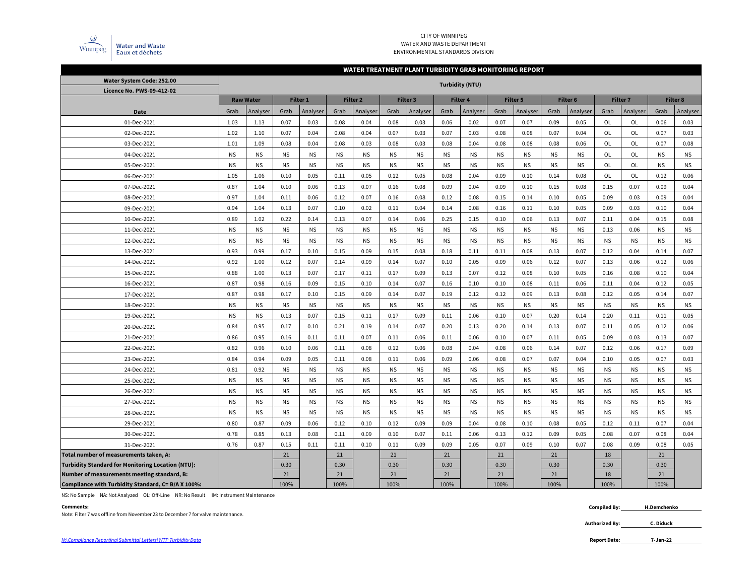

#### CITY OF WINNIPEG WATER AND WASTE DEPARTMENT ENVIRONMENTAL STANDARDS DIVISION

#### **WATER TREATMENT PLANT TURBIDITY GRAB MONITORING REPORT**

| Water System Code: 252.00                                | <b>Turbidity (NTU)</b> |                  |           |                 |           |           |           |           |           |                 |           |                 |           |           |           |                 |           |           |
|----------------------------------------------------------|------------------------|------------------|-----------|-----------------|-----------|-----------|-----------|-----------|-----------|-----------------|-----------|-----------------|-----------|-----------|-----------|-----------------|-----------|-----------|
| Licence No. PWS-09-412-02                                |                        |                  |           |                 |           |           |           |           |           |                 |           |                 |           |           |           |                 |           |           |
|                                                          |                        | <b>Raw Water</b> |           | <b>Filter 1</b> |           | Filter 2  |           | Filter 3  |           | <b>Filter 4</b> |           | <b>Filter 5</b> |           | Filter 6  |           | <b>Filter 7</b> |           | Filter 8  |
| Date                                                     | Grab                   | Analyser         | Grab      | Analyser        | Grab      | Analyser  | Grab      | Analyser  | Grab      | Analyser        | Grab      | Analyser        | Grab      | Analyser  | Grab      | Analyser        | Grab      | Analyser  |
| 01-Dec-2021                                              | 1.03                   | 1.13             | 0.07      | 0.03            | 0.08      | 0.04      | 0.08      | 0.03      | 0.06      | 0.02            | 0.07      | 0.07            | 0.09      | 0.05      | OL        | <b>OL</b>       | 0.06      | 0.03      |
| 02-Dec-2021                                              | 1.02                   | 1.10             | 0.07      | 0.04            | 0.08      | 0.04      | 0.07      | 0.03      | 0.07      | 0.03            | 0.08      | 0.08            | 0.07      | 0.04      | OL        | OL              | 0.07      | 0.03      |
| 03-Dec-2021                                              | 1.01                   | 1.09             | 0.08      | 0.04            | 0.08      | 0.03      | 0.08      | 0.03      | 0.08      | 0.04            | 0.08      | 0.08            | 0.08      | 0.06      | <b>OL</b> | OL              | 0.07      | 0.08      |
| 04-Dec-2021                                              | <b>NS</b>              | <b>NS</b>        | <b>NS</b> | <b>NS</b>       | <b>NS</b> | <b>NS</b> | <b>NS</b> | <b>NS</b> | <b>NS</b> | <b>NS</b>       | <b>NS</b> | <b>NS</b>       | <b>NS</b> | <b>NS</b> | <b>OL</b> | OL              | <b>NS</b> | <b>NS</b> |
| 05-Dec-2021                                              | <b>NS</b>              | <b>NS</b>        | <b>NS</b> | <b>NS</b>       | <b>NS</b> | <b>NS</b> | <b>NS</b> | <b>NS</b> | <b>NS</b> | <b>NS</b>       | <b>NS</b> | <b>NS</b>       | <b>NS</b> | <b>NS</b> | OL        | OL              | <b>NS</b> | <b>NS</b> |
| 06-Dec-2021                                              | 1.05                   | 1.06             | 0.10      | 0.05            | 0.11      | 0.05      | 0.12      | 0.05      | 0.08      | 0.04            | 0.09      | 0.10            | 0.14      | 0.08      | <b>OL</b> | <b>OL</b>       | 0.12      | 0.06      |
| 07-Dec-2021                                              | 0.87                   | 1.04             | 0.10      | 0.06            | 0.13      | 0.07      | 0.16      | 0.08      | 0.09      | 0.04            | 0.09      | 0.10            | 0.15      | 0.08      | 0.15      | 0.07            | 0.09      | 0.04      |
| 08-Dec-2021                                              | 0.97                   | 1.04             | 0.11      | 0.06            | 0.12      | 0.07      | 0.16      | 0.08      | 0.12      | 0.08            | 0.15      | 0.14            | 0.10      | 0.05      | 0.09      | 0.03            | 0.09      | 0.04      |
| 09-Dec-2021                                              | 0.94                   | 1.04             | 0.13      | 0.07            | 0.10      | 0.02      | 0.11      | 0.04      | 0.14      | 0.08            | 0.16      | 0.11            | 0.10      | 0.05      | 0.09      | 0.03            | 0.10      | 0.04      |
| 10-Dec-2021                                              | 0.89                   | 1.02             | 0.22      | 0.14            | 0.13      | 0.07      | 0.14      | 0.06      | 0.25      | 0.15            | 0.10      | 0.06            | 0.13      | 0.07      | 0.11      | 0.04            | 0.15      | 0.08      |
| 11-Dec-2021                                              | <b>NS</b>              | <b>NS</b>        | <b>NS</b> | <b>NS</b>       | <b>NS</b> | <b>NS</b> | <b>NS</b> | <b>NS</b> | <b>NS</b> | <b>NS</b>       | <b>NS</b> | <b>NS</b>       | <b>NS</b> | <b>NS</b> | 0.13      | 0.06            | <b>NS</b> | <b>NS</b> |
| 12-Dec-2021                                              | <b>NS</b>              | <b>NS</b>        | <b>NS</b> | <b>NS</b>       | <b>NS</b> | <b>NS</b> | <b>NS</b> | <b>NS</b> | <b>NS</b> | <b>NS</b>       | <b>NS</b> | <b>NS</b>       | <b>NS</b> | <b>NS</b> | <b>NS</b> | <b>NS</b>       | <b>NS</b> | <b>NS</b> |
| 13-Dec-2021                                              | 0.93                   | 0.99             | 0.17      | 0.10            | 0.15      | 0.09      | 0.15      | 0.08      | 0.18      | 0.11            | 0.11      | 0.08            | 0.13      | 0.07      | 0.12      | 0.04            | 0.14      | 0.07      |
| 14-Dec-2021                                              | 0.92                   | 1.00             | 0.12      | 0.07            | 0.14      | 0.09      | 0.14      | 0.07      | 0.10      | 0.05            | 0.09      | 0.06            | 0.12      | 0.07      | 0.13      | 0.06            | 0.12      | 0.06      |
| 15-Dec-2021                                              | 0.88                   | 1.00             | 0.13      | 0.07            | 0.17      | 0.11      | 0.17      | 0.09      | 0.13      | 0.07            | 0.12      | 0.08            | 0.10      | 0.05      | 0.16      | 0.08            | 0.10      | 0.04      |
| 16-Dec-2021                                              | 0.87                   | 0.98             | 0.16      | 0.09            | 0.15      | 0.10      | 0.14      | 0.07      | 0.16      | 0.10            | 0.10      | 0.08            | 0.11      | 0.06      | 0.11      | 0.04            | 0.12      | 0.05      |
| 17-Dec-2021                                              | 0.87                   | 0.98             | 0.17      | 0.10            | 0.15      | 0.09      | 0.14      | 0.07      | 0.19      | 0.12            | 0.12      | 0.09            | 0.13      | 0.08      | 0.12      | 0.05            | 0.14      | 0.07      |
| 18-Dec-2021                                              | <b>NS</b>              | <b>NS</b>        | <b>NS</b> | <b>NS</b>       | <b>NS</b> | <b>NS</b> | <b>NS</b> | <b>NS</b> | <b>NS</b> | <b>NS</b>       | <b>NS</b> | <b>NS</b>       | <b>NS</b> | <b>NS</b> | <b>NS</b> | <b>NS</b>       | <b>NS</b> | <b>NS</b> |
| 19-Dec-2021                                              | <b>NS</b>              | <b>NS</b>        | 0.13      | 0.07            | 0.15      | 0.11      | 0.17      | 0.09      | 0.11      | 0.06            | 0.10      | 0.07            | 0.20      | 0.14      | 0.20      | 0.11            | 0.11      | 0.05      |
| 20-Dec-2021                                              | 0.84                   | 0.95             | 0.17      | 0.10            | 0.21      | 0.19      | 0.14      | 0.07      | 0.20      | 0.13            | 0.20      | 0.14            | 0.13      | 0.07      | 0.11      | 0.05            | 0.12      | 0.06      |
| 21-Dec-2021                                              | 0.86                   | 0.95             | 0.16      | 0.11            | 0.11      | 0.07      | 0.11      | 0.06      | 0.11      | 0.06            | 0.10      | 0.07            | 0.11      | 0.05      | 0.09      | 0.03            | 0.13      | 0.07      |
| 22-Dec-2021                                              | 0.82                   | 0.96             | 0.10      | 0.06            | 0.11      | 0.08      | 0.12      | 0.06      | 0.08      | 0.04            | 0.08      | 0.06            | 0.14      | 0.07      | 0.12      | 0.06            | 0.17      | 0.09      |
| 23-Dec-2021                                              | 0.84                   | 0.94             | 0.09      | 0.05            | 0.11      | 0.08      | 0.11      | 0.06      | 0.09      | 0.06            | 0.08      | 0.07            | 0.07      | 0.04      | 0.10      | 0.05            | 0.07      | 0.03      |
| 24-Dec-2021                                              | 0.81                   | 0.92             | <b>NS</b> | <b>NS</b>       | <b>NS</b> | <b>NS</b> | <b>NS</b> | <b>NS</b> | <b>NS</b> | <b>NS</b>       | <b>NS</b> | <b>NS</b>       | <b>NS</b> | <b>NS</b> | <b>NS</b> | <b>NS</b>       | <b>NS</b> | <b>NS</b> |
| 25-Dec-2021                                              | <b>NS</b>              | <b>NS</b>        | <b>NS</b> | <b>NS</b>       | <b>NS</b> | <b>NS</b> | <b>NS</b> | <b>NS</b> | <b>NS</b> | <b>NS</b>       | <b>NS</b> | <b>NS</b>       | <b>NS</b> | <b>NS</b> | <b>NS</b> | <b>NS</b>       | <b>NS</b> | <b>NS</b> |
| 26-Dec-2021                                              | <b>NS</b>              | <b>NS</b>        | <b>NS</b> | <b>NS</b>       | <b>NS</b> | <b>NS</b> | <b>NS</b> | <b>NS</b> | <b>NS</b> | <b>NS</b>       | <b>NS</b> | <b>NS</b>       | <b>NS</b> | <b>NS</b> | <b>NS</b> | <b>NS</b>       | <b>NS</b> | <b>NS</b> |
| 27-Dec-2021                                              | <b>NS</b>              | <b>NS</b>        | <b>NS</b> | <b>NS</b>       | <b>NS</b> | <b>NS</b> | <b>NS</b> | <b>NS</b> | <b>NS</b> | <b>NS</b>       | <b>NS</b> | <b>NS</b>       | <b>NS</b> | <b>NS</b> | <b>NS</b> | <b>NS</b>       | <b>NS</b> | <b>NS</b> |
| 28-Dec-2021                                              | <b>NS</b>              | <b>NS</b>        | NS.       | <b>NS</b>       | <b>NS</b> | <b>NS</b> | <b>NS</b> | <b>NS</b> | <b>NS</b> | <b>NS</b>       | <b>NS</b> | <b>NS</b>       | <b>NS</b> | <b>NS</b> | <b>NS</b> | <b>NS</b>       | <b>NS</b> | <b>NS</b> |
| 29-Dec-2021                                              | 0.80                   | 0.87             | 0.09      | 0.06            | 0.12      | 0.10      | 0.12      | 0.09      | 0.09      | 0.04            | 0.08      | 0.10            | 0.08      | 0.05      | 0.12      | 0.11            | 0.07      | 0.04      |
| 30-Dec-2021                                              | 0.78                   | 0.85             | 0.13      | 0.08            | 0.11      | 0.09      | 0.10      | 0.07      | 0.11      | 0.06            | 0.13      | 0.12            | 0.09      | 0.05      | 0.08      | 0.07            | 0.08      | 0.04      |
| 31-Dec-2021                                              | 0.76                   | 0.87             | 0.15      | 0.11            | 0.11      | 0.10      | 0.11      | 0.09      | 0.09      | 0.05            | 0.07      | 0.09            | 0.10      | 0.07      | 0.08      | 0.09            | 0.08      | 0.05      |
| Total number of measurements taken, A:                   |                        |                  | 21        |                 | 21        |           | 21        |           | 21        |                 | 21        |                 | 21        |           | 18        |                 | 21        |           |
| <b>Turbidity Standard for Monitoring Location (NTU):</b> |                        |                  | 0.30      |                 | 0.30      |           | 0.30      |           | 0.30      |                 | 0.30      |                 | 0.30      |           | 0.30      |                 | 0.30      |           |
| Number of measurements meeting standard, B:              |                        |                  | 21        |                 | 21        |           | 21        |           | 21        |                 | 21        |                 | 21        |           | 18        |                 | 21        |           |
| Compliance with Turbidity Standard, C= B/A X 100%:       |                        |                  | 100%      |                 | 100%      |           | 100%      |           | 100%      |                 | 100%      |                 | 100%      |           | 100%      |                 | 100%      |           |

NS: No Sample NA: Not Analyzed OL: Off-Line NR: No Result IM: Instrument Maintenance

#### **Comments: Compiled By:**

Note: Filter 7 was offline from November 23 to December 7 for valve maintenance.

**H.Demchenko**

**Authorized By: C. Diduck**

**7-Jan-22**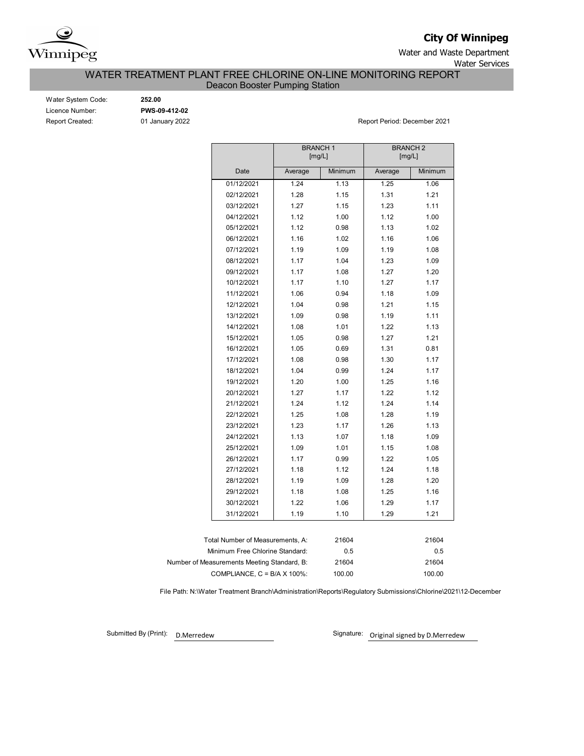

**City Of Winnipeg**

Water and Waste Department Water Services

# WATER TREATMENT PLANT FREE CHLORINE ON-LINE MONITORING REPORT

Deacon Booster Pumping Station

| Water System Code:     |
|------------------------|
| Licence Number:        |
| <b>Report Created:</b> |

Water System Code: **252.00** Licence Number: **PWS-09-412-02**

01 January 2022 **Report Period: December 2021** 

|                                             | <b>BRANCH1</b><br>[mg/L] |         | <b>BRANCH2</b><br>[mg/L] |         |  |  |  |  |
|---------------------------------------------|--------------------------|---------|--------------------------|---------|--|--|--|--|
| Date                                        | Average                  | Minimum | Average                  | Minimum |  |  |  |  |
| 01/12/2021                                  | 1.24                     | 1.13    | 1.25                     | 1.06    |  |  |  |  |
| 02/12/2021                                  | 1.28                     | 1.15    | 1.31                     | 1.21    |  |  |  |  |
| 03/12/2021                                  | 1.27                     | 1.15    | 1.23                     | 1.11    |  |  |  |  |
| 04/12/2021                                  | 1.12                     | 1.00    | 1.12                     | 1.00    |  |  |  |  |
| 05/12/2021                                  | 1.12                     | 0.98    | 1.13                     | 1.02    |  |  |  |  |
| 06/12/2021                                  | 1.16                     | 1.02    | 1.16                     | 1.06    |  |  |  |  |
| 07/12/2021                                  | 1.19                     | 1.09    | 1.19                     | 1.08    |  |  |  |  |
| 08/12/2021                                  | 1.17                     | 1.04    | 1.23                     | 1.09    |  |  |  |  |
| 09/12/2021                                  | 1.17                     | 1.08    | 1.27                     | 1.20    |  |  |  |  |
| 10/12/2021                                  | 1.17                     | 1.10    | 1.27                     | 1.17    |  |  |  |  |
| 11/12/2021                                  | 1.06                     | 0.94    | 1.18                     | 1.09    |  |  |  |  |
| 12/12/2021                                  | 1.04                     | 0.98    | 1.21                     | 1.15    |  |  |  |  |
| 13/12/2021                                  | 1.09                     | 0.98    | 1.19                     | 1.11    |  |  |  |  |
| 14/12/2021                                  | 1.08                     | 1.01    | 1.22                     | 1.13    |  |  |  |  |
| 15/12/2021                                  | 1.05                     | 0.98    | 1.27                     | 1.21    |  |  |  |  |
| 16/12/2021                                  | 1.05                     | 0.69    | 1.31                     | 0.81    |  |  |  |  |
| 17/12/2021                                  | 1.08                     | 0.98    | 1.30                     | 1.17    |  |  |  |  |
| 18/12/2021                                  | 1.04                     | 0.99    | 1.24                     | 1.17    |  |  |  |  |
| 19/12/2021                                  | 1.20                     | 1.00    | 1.25                     | 1.16    |  |  |  |  |
| 20/12/2021                                  | 1.27                     | 1.17    | 1.22                     | 1.12    |  |  |  |  |
| 21/12/2021                                  | 1.24                     | 1.12    | 1.24                     | 1.14    |  |  |  |  |
| 22/12/2021                                  | 1.25                     | 1.08    | 1.28                     | 1.19    |  |  |  |  |
| 23/12/2021                                  | 1.23                     | 1.17    | 1.26                     | 1.13    |  |  |  |  |
| 24/12/2021                                  | 1.13                     | 1.07    | 1.18                     | 1.09    |  |  |  |  |
| 25/12/2021                                  | 1.09                     | 1.01    | 1.15                     | 1.08    |  |  |  |  |
| 26/12/2021                                  | 1.17                     | 0.99    | 1.22                     | 1.05    |  |  |  |  |
| 27/12/2021                                  | 1.18                     | 1.12    | 1.24                     | 1.18    |  |  |  |  |
| 28/12/2021                                  | 1.19                     | 1.09    | 1.28                     | 1.20    |  |  |  |  |
| 29/12/2021                                  | 1.18                     | 1.08    | 1.25                     | 1.16    |  |  |  |  |
| 30/12/2021                                  | 1.22                     | 1.06    | 1.29                     | 1.17    |  |  |  |  |
| 31/12/2021                                  | 1.19                     | 1.10    | 1.29                     | 1.21    |  |  |  |  |
|                                             |                          |         |                          |         |  |  |  |  |
| Total Number of Measurements, A:            |                          | 21604   |                          | 21604   |  |  |  |  |
| Minimum Free Chlorine Standard:             |                          | 0.5     |                          | 0.5     |  |  |  |  |
| Number of Measurements Meeting Standard, B: |                          | 21604   |                          | 21604   |  |  |  |  |
|                                             |                          |         |                          |         |  |  |  |  |

COMPLIANCE, C = B/A X 100%: 100.00 100.00

File Path: N:\Water Treatment Branch\Administration\Reports\Regulatory Submissions\Chlorine\2021\12-December

Submitted By (Print):

D.Merredew **D.Merredew** Signature: Original signed by D.Merredew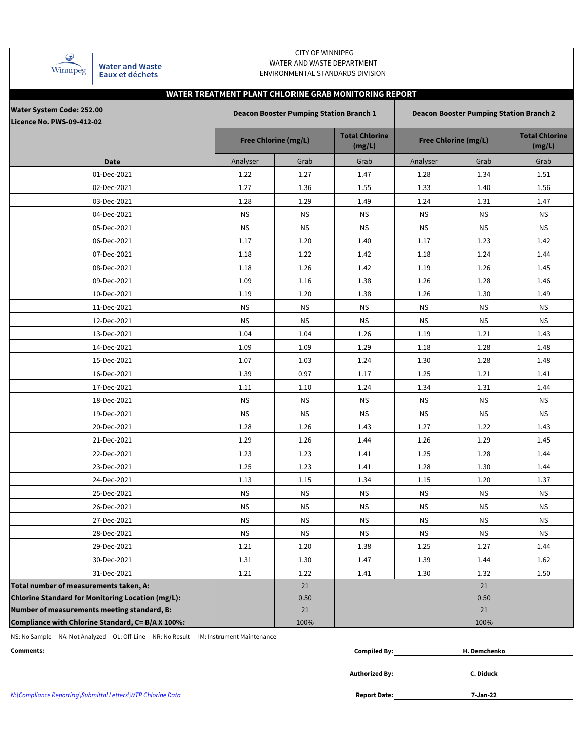| Winnipeg |
|----------|

**Water and Waste** Eaux et déchets

#### CITY OF WINNIPEG WATER AND WASTE DEPARTMENT ENVIRONMENTAL STANDARDS DIVISION

## **WATER TREATMENT PLANT CHLORINE GRAB MONITORING REPORT**

| <b>Water System Code: 252.00</b>                  |           | <b>Deacon Booster Pumping Station Branch 1</b> |                                 | <b>Deacon Booster Pumping Station Branch 2</b> |            |                                 |  |  |  |  |
|---------------------------------------------------|-----------|------------------------------------------------|---------------------------------|------------------------------------------------|------------|---------------------------------|--|--|--|--|
| <b>Licence No. PWS-09-412-02</b>                  |           | <b>Free Chlorine (mg/L)</b>                    | <b>Total Chlorine</b><br>(mg/L) | <b>Free Chlorine (mg/L)</b>                    |            | <b>Total Chlorine</b><br>(mg/L) |  |  |  |  |
| <b>Date</b>                                       | Analyser  | Grab                                           | Grab                            | Analyser                                       | Grab       | Grab                            |  |  |  |  |
| 01-Dec-2021                                       | 1.22      | 1.27                                           | 1.47                            | 1.28                                           | 1.34       | 1.51                            |  |  |  |  |
| 02-Dec-2021                                       | 1.27      | 1.36                                           | 1.55                            | 1.33                                           | 1.40       | 1.56                            |  |  |  |  |
| 03-Dec-2021                                       | 1.28      | 1.29                                           | 1.49                            | 1.24                                           | 1.31       | 1.47                            |  |  |  |  |
| 04-Dec-2021                                       | <b>NS</b> | <b>NS</b>                                      | <b>NS</b>                       | <b>NS</b>                                      | <b>NS</b>  | <b>NS</b>                       |  |  |  |  |
| 05-Dec-2021                                       | <b>NS</b> | <b>NS</b>                                      | <b>NS</b>                       | <b>NS</b>                                      | <b>NS</b>  | <b>NS</b>                       |  |  |  |  |
| 06-Dec-2021                                       | 1.17      | 1.20                                           | 1.40                            | 1.17                                           | 1.23       | 1.42                            |  |  |  |  |
| 07-Dec-2021                                       | 1.18      | 1.22                                           | 1.42                            | 1.18                                           | 1.24       | 1.44                            |  |  |  |  |
| 08-Dec-2021                                       | 1.18      | 1.26                                           | 1.42                            | 1.19                                           | 1.26       | 1.45                            |  |  |  |  |
| 09-Dec-2021                                       | 1.09      | 1.16                                           | 1.38                            | 1.26                                           | 1.28       | 1.46                            |  |  |  |  |
| 10-Dec-2021                                       | 1.19      | 1.20                                           | 1.38                            | 1.26                                           | 1.30       | 1.49                            |  |  |  |  |
| 11-Dec-2021                                       | ΝS        | <b>NS</b>                                      | <b>NS</b>                       | <b>NS</b>                                      | <b>NS</b>  | <b>NS</b>                       |  |  |  |  |
| 12-Dec-2021                                       | <b>NS</b> | <b>NS</b>                                      | <b>NS</b>                       | <b>NS</b>                                      | <b>NS</b>  | <b>NS</b>                       |  |  |  |  |
| 13-Dec-2021                                       | 1.04      | 1.04                                           | 1.26                            | 1.19                                           | 1.21       | 1.43                            |  |  |  |  |
| 14-Dec-2021                                       | 1.09      | 1.09                                           | 1.29                            | 1.18                                           | 1.28       | 1.48                            |  |  |  |  |
| 15-Dec-2021                                       | 1.07      | 1.03                                           | 1.24                            | 1.30                                           | 1.28       | 1.48                            |  |  |  |  |
| 16-Dec-2021                                       | 1.39      | 0.97                                           | 1.17                            | 1.25                                           | 1.21       | 1.41                            |  |  |  |  |
| 17-Dec-2021                                       | 1.11      | 1.10                                           | 1.24                            | 1.34                                           | 1.31       | 1.44                            |  |  |  |  |
| 18-Dec-2021                                       | ΝS        | <b>NS</b>                                      | <b>NS</b>                       | ΝS                                             | <b>NS</b>  | <b>NS</b>                       |  |  |  |  |
| 19-Dec-2021                                       | <b>NS</b> | <b>NS</b>                                      | <b>NS</b>                       | <b>NS</b>                                      | <b>NS</b>  | <b>NS</b>                       |  |  |  |  |
| 20-Dec-2021                                       | 1.28      | 1.26                                           | 1.43                            | 1.27                                           | 1.22       | 1.43                            |  |  |  |  |
| 21-Dec-2021                                       | 1.29      | 1.26                                           | 1.44                            | 1.26                                           | 1.29       | 1.45                            |  |  |  |  |
| 22-Dec-2021                                       | 1.23      | 1.23                                           | 1.41                            | 1.25                                           | 1.28       | 1.44                            |  |  |  |  |
| 23-Dec-2021                                       | 1.25      | 1.23                                           | 1.41                            | 1.28                                           | 1.30       | 1.44                            |  |  |  |  |
| 24-Dec-2021                                       | 1.13      | 1.15                                           | 1.34                            | 1.15                                           | 1.20       | 1.37                            |  |  |  |  |
| 25-Dec-2021                                       | <b>NS</b> | <b>NS</b>                                      | <b>NS</b>                       | <b>NS</b>                                      | <b>NS</b>  | <b>NS</b>                       |  |  |  |  |
| 26-Dec-2021                                       | <b>NS</b> | <b>NS</b>                                      | <b>NS</b>                       | <b>NS</b>                                      | <b>NS</b>  | <b>NS</b>                       |  |  |  |  |
| 27-Dec-2021                                       | <b>NS</b> | <b>NS</b>                                      | <b>NS</b>                       | <b>NS</b>                                      | <b>NS</b>  | <b>NS</b>                       |  |  |  |  |
| 28-Dec-2021                                       | <b>NS</b> | ${\sf NS}$                                     | ${\sf NS}$                      | ${\sf NS}$                                     | ${\sf NS}$ | <b>NS</b>                       |  |  |  |  |
| 29-Dec-2021                                       | 1.21      | 1.20                                           | 1.38                            | 1.25                                           | 1.27       | 1.44                            |  |  |  |  |
| 30-Dec-2021                                       | 1.31      | 1.30                                           | 1.47                            | 1.39                                           | 1.44       | 1.62                            |  |  |  |  |
| 31-Dec-2021                                       | 1.21      | 1.22                                           | 1.41                            | 1.30                                           | 1.32       | 1.50                            |  |  |  |  |
| Total number of measurements taken, A:            |           | 21                                             |                                 |                                                | 21         |                                 |  |  |  |  |
| Chlorine Standard for Monitoring Location (mg/L): |           | 0.50                                           |                                 |                                                | 0.50       |                                 |  |  |  |  |
| Number of measurements meeting standard, B:       |           | 21                                             |                                 |                                                | 21         |                                 |  |  |  |  |
| Compliance with Chlorine Standard, C= B/A X 100%: |           | 100%                                           |                                 |                                                | 100%       |                                 |  |  |  |  |

NS: No Sample NA: Not Analyzed OL: Off-Line NR: No Result IM: Instrument Maintenance

| Comments: | --<br>niled Rv·<br> | . Demchenko |
|-----------|---------------------|-------------|
|           |                     |             |

**Authorized By:**

**C. Diduck**

**7-Jan-22**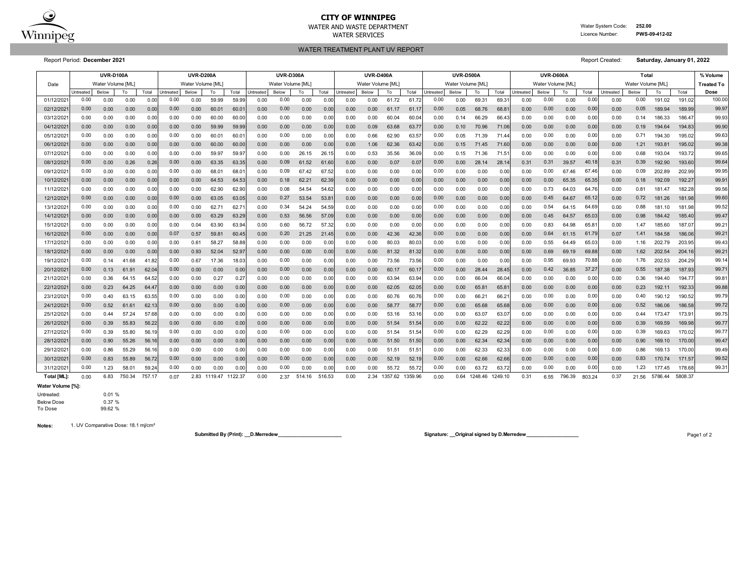

# **CITY OF WINNIPEG**

WATER AND WASTE DEPARTMENT Water System Code: **252.00** WATER SERVICES **EXAMPLE SERVICES Licence Number: PWS-09-412-02** 

WATER TREATMENT PLANT UV REPORT

Report Period: **December 2021** Report Created: **Saturday, January 01, 2022**

|             | <b>UVR-D100A</b> |                   |        |        |           | <b>UVR-D200A</b>  |         |               |                  | <b>UVR-D300A</b>  |        |        |                  | <b>UVR-D400A</b>  |              |         |           | <b>UVR-D500A</b>  |         |                |                  | UVR-D600A         |        |        | Total             |       |         |         | % Volume          |
|-------------|------------------|-------------------|--------|--------|-----------|-------------------|---------|---------------|------------------|-------------------|--------|--------|------------------|-------------------|--------------|---------|-----------|-------------------|---------|----------------|------------------|-------------------|--------|--------|-------------------|-------|---------|---------|-------------------|
| Date        |                  | Water Volume [ML] |        |        |           | Water Volume [ML] |         |               |                  | Water Volume [ML] |        |        |                  | Water Volume [ML] |              |         |           | Water Volume IML1 |         |                |                  | Water Volume [ML] |        |        | Water Volume [ML] |       |         |         | <b>Treated To</b> |
|             | Untreated        | Below             | To     | Total  | Intreated | Below             | To      | Total         | <b>Jntreated</b> | Below             | To     | Total  | <b>Intreated</b> | Below             | To           | Total   | Untreated | Below             | To      | Total          | <b>Jntreated</b> | Below             | To     | Total  | Untreated         | Below | To      | Total   | Dose              |
| 01/12/202   | 0.00             | 0.00              | 0.00   | 0.00   | 0.00      | 0.00              | 59.99   | 59.99         | 0.00             | 0.00              | 0.00   | 0.00   | 0.00             | 0.00              | 61.72        | 61.7    | 0.00      | 0.00              | 69.31   | 69.3           | 0.00             | 0.00              | 0.00   | 0.00   | 0.00              | 0.00  | 191.02  | 191.02  | 100.00            |
| 02/12/202   | 0.00             | 0.00              | 0.00   | 0.00   | 0.00      | 0.00              | 60.01   | 60.0          | 0.00             | 0.00              | 0.00   | 0.00   | 0.00             | 0.00              | 61.17        | 61.1    | 0.00      | 0.05              | 68.76   | $68.8^{\circ}$ | 0.00             | 0.00              | 0.00   | 0.00   | 0.00              | 0.05  | 189.94  | 189.99  | 99.97             |
| 03/12/202   | 0.00             | 0.00              | 0.00   | 0.00   | 0.00      | 0.00              | 60.00   | 60.00         | 0.00             | 0.00              | 0.00   | 0.00   | 0.00             | 0.00              | 60.04        | 60.04   | 0.00      | 0.14              | 66.29   | 66.43          | 0.00             | 0.00              | 0.00   | 0.00   | 0.00              | 0.14  | 186.33  | 186.47  | 99.93             |
| 04/12/202   | 0.00             | 0.00              | 0.00   | 0.00   | 0.00      | 0.00              | 59.99   | 59.99         | 0.00             | 0.00              | 0.00   | 0.00   | 0.00             | 0.09              | 63.68        | 63.7    | 0.00      | 0.10              | 70.96   | 71.06          | 0.00             | 0.00              | 0.00   | 0.00   | 0.00              | 0.19  | 194.64  | 194.83  | 99.90             |
| 05/12/202   | 0.00             | 0.00              | 0.00   | 0.00   | 0.00      | 0.00              | 60.01   | 60.0          | 0.00             | 0.00              | 0.00   | 0.00   | 0.00             | 0.66              | 62.90        | 63.5    | 0.00      | 0.05              | 71.39   | 71.44          | 0.00             | 0.00              | 0.00   | 0.00   | 0.00              | 0.71  | 194.30  | 195.02  | 99.63             |
| 06/12/202   | 0.00             | 0.00              | 0.00   | 0.00   | 0.00      | 0.00              | 60.00   | 60.0          | 0.00             | 0.00              | 0.00   | 0.00   | 0.00             | 1.06              | 62.36        | 63.42   | 0.00      | 0.15              | 71.45   | 71.60          | 0.00             | 0.00              | 0.00   | 0.00   | 0.00              | 1.21  | 193.81  | 195.02  | 99.38             |
| 07/12/202   | 0.00             | 0.00              | 0.00   | 0.00   | 0.00      | 0.00              | 59.97   | 59.97         | 0.00             | 0.00              | 26.15  | 26.1   | 0.00             | 0.53              | 35.56        | 36.09   | 0.00      | 0.15              | 71.36   | $71.5^{\circ}$ | 0.00             | 0.00              | 0.00   | 0.00   | 0.00              | 0.68  | 193.04  | 193.72  | 99.65             |
| 08/12/202   | 0.00             | 0.00              | 0.26   | 0.26   | 0.00      | 0.00              | 63.35   | 63.3          | 0.00             | 0.09              | 61.52  | 61.6   | 0.00             | 0.00              | 0.07         | 0.0     | 0.00      | 0.00              | 28.14   | 28.14          | 0.31             | 0.31              | 39.57  | 40.18  | 0.31              | 0.39  | 192.90  | 193.60  | 99.64             |
| 09/12/202   | 0.00             | 0.00              | 0.00   | 0.00   | 0.00      | 0.00              | 68.01   | 68.0          | 0.00             | 0.09              | 67.42  | 67.52  | 0.00             | 0.00              | 0.00         | 0.00    | 0.00      | 0.00              | 0.00    | 0.00           | 0.00             | 0.00              | 67.46  | 67.46  | 0.00              | 0.09  | 202.89  | 202.99  | 99.95             |
| 10/12/202   | 0.00             | 0.00              | 0.00   | 0.00   | 0.00      | 0.00              | 64.53   | 64.53         | 0.00             | 0.18              | 62.21  | 62.39  | 0.00             | 0.00              | 0.00         | 0.00    | 0.00      | 0.00              | 0.00    | 0.00           | 0.00             | 0.00              | 65.35  | 65.35  | 0.00              | 0.18  | 192.09  | 192.27  | 99.91             |
| 11/12/202   | 0.00             | 0.00              | 0.00   | 0.00   | 0.00      | 0.00              | 62.90   | 62.90         | 0.00             | 0.08              | 54.54  | 54.62  | 0.00             | 0.00              | 0.00         | 0.00    | 0.00      | 0.00              | 0.00    | 0.00           | 0.00             | 0.73              | 64.03  | 64.76  | 0.00              | 0.81  | 181.47  | 182.28  | 99.56             |
| 12/12/202   | 0.00             | 0.00              | 0.00   | 0.00   | 0.00      | 0.00              | 63.05   | 63.05         | 0.00             | 0.27              | 53.54  | 53.8   | 0.00             | 0.00              | 0.00         | 0.00    | 0.00      | 0.00              | 0.00    | 0.00           | 0.00             | 0.45              | 64.67  | 65.12  | 0.00              | 0.72  | 181.26  | 181.98  | 99.60             |
| 13/12/202   | 0.00             | 0.00              | 0.00   | 0.00   | 0.00      | 0.00              | 62.71   | 62.7          | 0.00             | 0.34              | 54.24  | 54.59  | 0.00             | 0.00              | 0.00         | 0.00    | 0.00      | 0.00              | 0.00    | 0.00           | 0.00             | 0.54              | 64.15  | 64.69  | 0.00              | 0.88  | 181.10  | 181.98  | 99.52             |
| 14/12/202   | 0.00             | 0.00              | 0.00   | 0.00   | 0.00      | 0.00              | 63.29   | 63.2          | 0.00             | 0.53              | 56.56  | 57.09  | 0.00             | 0.00              | 0.00         | 0.00    | 0.00      | 0.00              | 0.00    | 0.00           | 0.00             | 0.45              | 64.57  | 65.03  | 0.00              | 0.98  | 184.42  | 185.40  | 99.47             |
| 15/12/202   | 0.00             | 0.00              | 0.00   | 0.00   | 0.00      | 0.04              | 63.90   | 63.94         | 0.00             | 0.60              | 56.72  | 57.32  | 0.00             | 0.00              | 0.00         | 0.00    | 0.00      | 0.00              | 0.00    | 0.00           | 0.00             | 0.83              | 64.98  | 65.8   | 0.00              | 1.47  | 185.60  | 187.07  | 99.21             |
| 16/12/202   | 0.00             | 0.00              | 0.00   | 0.00   | 0.07      | 0.57              | 59.81   | 60.45         | 0.00             | 0.20              | 21.25  | 21.4   | 0.00             | 0.00              | 42.36        | 42.36   | 0.00      | 0.00              | 0.00    | 0.00           | 0.00             | 0.64              | 61.15  | 61.79  | 0.07              | 1.41  | 184.58  | 186.06  | 99.21             |
| 17/12/202   | 0.00             | 0.00              | 0.00   | 0.00   | 0.00      | 0.61              | 58.27   | 58.88         | 0.00             | 0.00              | 0.00   | 0.00   | 0.00             | 0.00              | 80.03        | 80.03   | 0.00      | 0.00              | 0.00    | 0.00           | 0.00             | 0.55              | 64.49  | 65.03  | 0.00              | 1.16  | 202.79  | 203.95  | 99.43             |
| 18/12/202   | 0.00             | 0.00              | 0.00   | 0.00   | 0.00      | 0.93              | 52.04   | 52.97         | 0.00             | 0.00              | 0.00   | 0.00   | 0.00             | 0.00              | 81.32        | 81.32   | 0.00      | 0.00              | 0.00    | 0.00           | 0.00             | 0.69              | 69.19  | 69.88  | 0.00              | 1.62  | 202.54  | 204.16  | 99.21             |
| 19/12/202   | 0.00             | 0.14              | 41.68  | 41.82  | 0.00      | 0.67              | 17.36   | 18.03         | 0.00             | 0.00              | 0.00   | 0.00   | 0.00             | 0.00              | 73.56        | 73.56   | 0.00      | 0.00              | 0.00    | 0.00           | 0.00             | 0.95              | 69.93  | 70.88  | 0.00              | 1.76  | 202.53  | 204.29  | 99.14             |
| 20/12/202   | 0.00             | 0.13              | 61.91  | 62.04  | 0.00      | 0.00              | 0.00    | 0.00          | 0.00             | 0.00              | 0.00   | 0.00   | 0.00             | 0.00              | 60.17        | 60.1    | 0.00      | 0.00              | 28.44   | 28.45          | 0.00             | 0.42              | 36.85  | 37.27  | 0.00              | 0.55  | 187.38  | 187.93  | 99.71             |
| 21/12/202   | 0.00             | 0.36              | 64.15  | 64.52  | 0.00      | 0.00              | 0.27    | $0.2^{\circ}$ | 0.00             | 0.00              | 0.00   | 0.00   | 0.00             | 0.00              | 63.94        | 63.9    | 0.00      | 0.00              | 66.04   | 66.04          | 0.00             | 0.00              | 0.00   | 0.0    | 0.00              | 0.36  | 194.40  | 194.77  | 99.81             |
| 22/12/202   | 0.00             | 0.23              | 64.25  | 64.4   | 0.00      | 0.00              | 0.00    | 0.00          | 0.00             | 0.00              | 0.00   | 0.00   | 0.00             | 0.00              | 62.05        | 62.05   | 0.00      | 0.00              | 65.81   | 65.8'          | 0.00             | 0.00              | 0.00   | 0.00   | 0.00              | 0.23  | 192.11  | 192.33  | 99.88             |
| 23/12/202   | 0.00             | 0.40              | 63.15  | 63.55  | 0.00      | 0.00              | 0.00    | 0.00          | 0.00             | 0.00              | 0.00   | 0.00   | 0.00             | 0.00              | 60.76        | 60.76   | 0.00      | 0.00              | 66.21   | $66.2^{\circ}$ | 0.00             | 0.00              | 0.00   | 0.00   | 0.00              | 0.40  | 190.12  | 190.52  | 99.79             |
| 24/12/202   | 0.00             | 0.52              | 61.61  | 62.13  | 0.00      | 0.00              | 0.00    | 0.00          | 0.00             | 0.00              | 0.00   | 0.00   | 0.00             | 0.00              | 58.77        | 58.77   | 0.00      | 0.00              | 65.68   | 65.68          | 0.00             | 0.00              | 0.00   | 0.00   | 0.00              | 0.52  | 186.06  | 186.58  | 99.72             |
| 25/12/202   | 0.00             | 0.44              | 57.24  | 57.68  | 0.00      | 0.00              | 0.00    | 0.00          | 0.00             | 0.00              | 0.00   | 0.00   | 0.00             | 0.00              | 53.16        | 53.16   | 0.00      | 0.00              | 63.07   | 63.07          | 0.00             | 0.00              | 0.00   | 0.00   | 0.00              | 0.44  | 173.47  | 173.9   | 99.75             |
| 26/12/202   | 0.00             | 0.39              | 55.83  | 56.22  | 0.00      | 0.00              | 0.00    | 0.00          | 0.00             | 0.00              | 0.00   | 0.00   | 0.00             | 0.00              | 51.54        | 51.54   | 0.00      | 0.00              | 62.22   | 62.22          | 0.00             | 0.00              | 0.00   | 0.00   | 0.00              | 0.39  | 169.59  | 169.98  | 99.77             |
| 27/12/202   | 0.00             | 0.39              | 55.80  | 56.19  | 0.00      | 0.00              | 0.00    | 0.01          | 0.00             | 0.00              | 0.00   | 0.00   | 0.00             | 0.00              | 51.54        | 51.5    | 0.00      | 0.00              | 62.29   | 62.2           | 0.00             | 0.00              | 0.00   | 0.00   | 0.00              | 0.39  | 169.63  | 170.02  | 99.77             |
| 28/12/202   | 0.00             | 0.90              | 55.26  | 56.16  | 0.00      | 0.00              | 0.00    | 0.01          | 0.00             | 0.00              | 0.00   | 0.00   | 0.00             | 0.00              | 51.50        | 51.50   | 0.00      | 0.00              | 62.34   | 62.34          | 0.00             | 0.00              | 0.00   | 0.00   | 0.00              | 0.90  | 169.10  | 170.00  | 99.47             |
| 29/12/202   | 0.00             | 0.86              | 55.29  | 56.16  | 0.00      | 0.00              | 0.00    | 0.00          | 0.00             | 0.00              | 0.00   | 0.00   | 0.00             | 0.00              | 51.51        | 51.5    | 0.00      | 0.00              | 62.33   | 62.33          | 0.00             | 0.00              | 0.00   | 0.00   | 0.00              | 0.86  | 169.13  | 170.00  | 99.49             |
| 30/12/202   | 0.00             | 0.83              | 55.89  | 56.72  | 0.00      | 0.00              | 0.00    | 0.00          | 0.00             | 0.00              | 0.00   | 0.00   | 0.00             | 0.00              | 52.19        | 52.19   | 0.00      | 0.00              | 62.66   | 62.66          | 0.00             | 0.00              | 0.00   | 0.00   | 0.00              | 0.83  | 170.74  | 171.57  | 99.52             |
| 31/12/202   | 0.00             | 1.23              | 58.01  | 59.24  | 0.00      | 0.00              | 0.00    | 0.00          | 0.00             | 0.00              | 0.00   | 0.00   | 0.00             | 0.00              | 55.72        | 55.72   | 0.00      | 0.00              | 63.72   | 63.72          | 0.00             | 0.00              | 0.00   | 0.00   | 0.00              | 1.23  | 177.45  | 178.68  | 99.31             |
| Total [ML]: | 0.00             | 6.83              | 750.34 | 757.17 | 0.07      | 2.83              | 1119.47 | 1122.37       | 0.00             | 2.37              | 514.16 | 516.53 | 0.00             |                   | 2.34 1357.62 | 1359.96 | 0.00      | 0.64              | 1248.46 | 1249.10        | 0.31             | 6.55              | 796.39 | 803.24 | 0.37              | 21.56 | 5786.44 | 5808.37 |                   |

**Water Volume [%]:**

#### Untreated: 0.01 %

Below Dose 0.37 %<br>To Dose 99.62 % 99.62 %

**Notes:** 1. UV Comparative Dose: 18.1 mj/cm²

**Submitted By (Print): \_\_D.Merredew\_\_\_\_\_\_\_\_\_\_\_\_\_\_\_\_\_\_\_\_\_\_\_ Signature: \_\_Original signed by D.Merredew\_\_\_\_\_\_\_\_\_\_\_\_\_\_\_\_\_\_\_** Page1 of 2